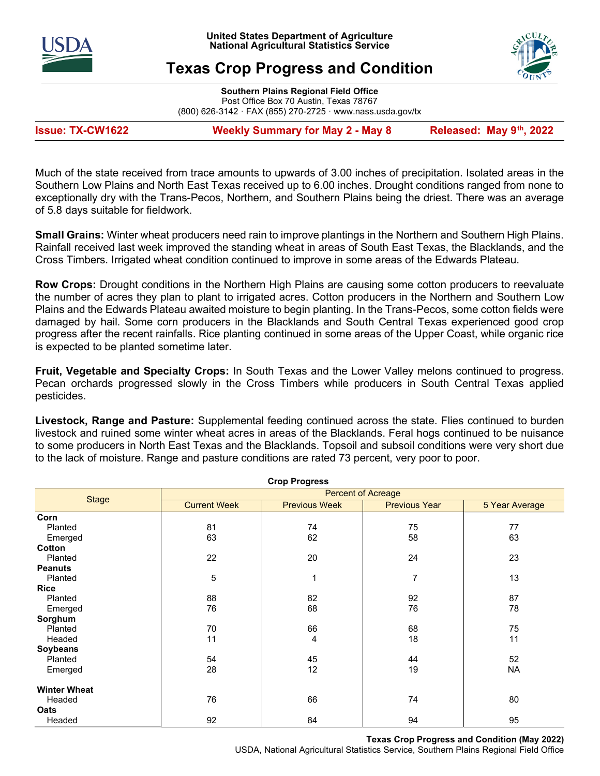



# Texas Crop Progress and Condition

Southern Plains Regional Field Office Post Office Box 70 Austin, Texas 78767 (800) 626-3142 · FAX (855) 270-2725 · www.nass.usda.gov/tx

Issue: TX-CW1622 Weekly Summary for May 2 - May 8 Released: May 9<sup>th</sup>, 2022

Much of the state received from trace amounts to upwards of 3.00 inches of precipitation. Isolated areas in the Southern Low Plains and North East Texas received up to 6.00 inches. Drought conditions ranged from none to exceptionally dry with the Trans-Pecos, Northern, and Southern Plains being the driest. There was an average of 5.8 days suitable for fieldwork.

Small Grains: Winter wheat producers need rain to improve plantings in the Northern and Southern High Plains. Rainfall received last week improved the standing wheat in areas of South East Texas, the Blacklands, and the Cross Timbers. Irrigated wheat condition continued to improve in some areas of the Edwards Plateau.

Row Crops: Drought conditions in the Northern High Plains are causing some cotton producers to reevaluate the number of acres they plan to plant to irrigated acres. Cotton producers in the Northern and Southern Low Plains and the Edwards Plateau awaited moisture to begin planting. In the Trans-Pecos, some cotton fields were damaged by hail. Some corn producers in the Blacklands and South Central Texas experienced good crop progress after the recent rainfalls. Rice planting continued in some areas of the Upper Coast, while organic rice is expected to be planted sometime later.

Fruit, Vegetable and Specialty Crops: In South Texas and the Lower Valley melons continued to progress. Pecan orchards progressed slowly in the Cross Timbers while producers in South Central Texas applied pesticides.

Livestock, Range and Pasture: Supplemental feeding continued across the state. Flies continued to burden livestock and ruined some winter wheat acres in areas of the Blacklands. Feral hogs continued to be nuisance to some producers in North East Texas and the Blacklands. Topsoil and subsoil conditions were very short due to the lack of moisture. Range and pasture conditions are rated 73 percent, very poor to poor.

| <b>Crop Progress</b> |                           |                      |                      |                |  |  |  |  |
|----------------------|---------------------------|----------------------|----------------------|----------------|--|--|--|--|
|                      | <b>Percent of Acreage</b> |                      |                      |                |  |  |  |  |
| <b>Stage</b>         | <b>Current Week</b>       | <b>Previous Week</b> | <b>Previous Year</b> | 5 Year Average |  |  |  |  |
| Corn                 |                           |                      |                      |                |  |  |  |  |
| Planted              | 81                        | 74                   | 75                   | 77             |  |  |  |  |
| Emerged              | 63                        | 62                   | 58                   | 63             |  |  |  |  |
| Cotton               |                           |                      |                      |                |  |  |  |  |
| Planted              | 22                        | 20                   | 24                   | 23             |  |  |  |  |
| <b>Peanuts</b>       |                           |                      |                      |                |  |  |  |  |
| Planted              | 5                         | 1                    | 7                    | 13             |  |  |  |  |
| <b>Rice</b>          |                           |                      |                      |                |  |  |  |  |
| Planted              | 88                        | 82                   | 92                   | 87             |  |  |  |  |
| Emerged              | 76                        | 68                   | 76                   | 78             |  |  |  |  |
| Sorghum              |                           |                      |                      |                |  |  |  |  |
| Planted              | 70                        | 66                   | 68                   | 75             |  |  |  |  |
| Headed               | 11                        | 4                    | 18                   | 11             |  |  |  |  |
| <b>Soybeans</b>      |                           |                      |                      |                |  |  |  |  |
| Planted              | 54                        | 45                   | 44                   | 52             |  |  |  |  |
| Emerged              | 28                        | 12                   | 19                   | NA.            |  |  |  |  |
| <b>Winter Wheat</b>  |                           |                      |                      |                |  |  |  |  |
| Headed               | 76                        | 66                   | 74                   | 80             |  |  |  |  |
| Oats                 |                           |                      |                      |                |  |  |  |  |
| Headed               | 92                        | 84                   | 94                   | 95             |  |  |  |  |

Texas Crop Progress and Condition (May 2022) USDA, National Agricultural Statistics Service, Southern Plains Regional Field Office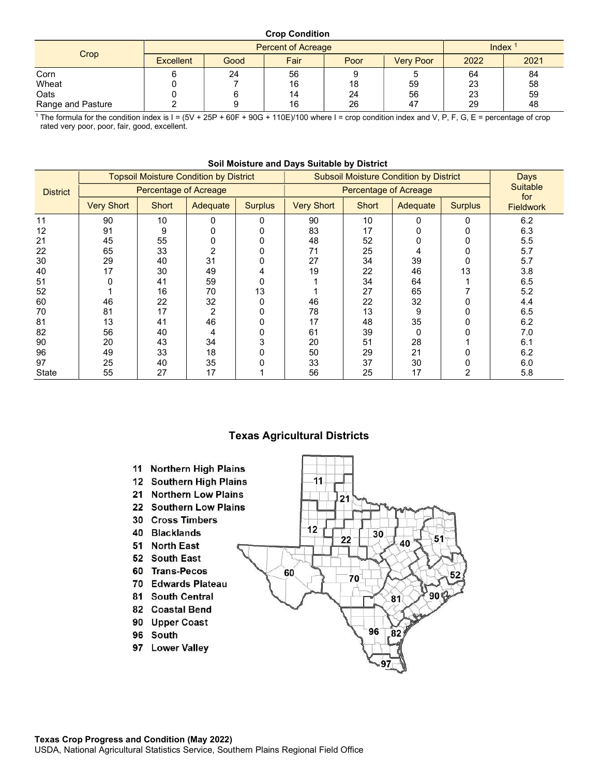## Crop Condition

|                   |                  | <b>Percent of Acreage</b> | Index |      |                  |      |      |
|-------------------|------------------|---------------------------|-------|------|------------------|------|------|
| Crop              | <b>Excellent</b> | Good                      | Fair  | Poor | <b>Very Poor</b> | 2022 | 2021 |
| Corn              |                  | 24                        | 56    |      |                  | 64   | 84   |
| Wheat             |                  |                           | 16    | 18   | 59               | 23   | 58   |
| Oats              |                  |                           | 14    | 24   | 56               | 23   | 59   |
| Range and Pasture |                  |                           | 16    | 26   | 47               | 29   | 48   |

<sup>1</sup> The formula for the condition index is  $I = (5V + 25P + 60F + 90G + 110E)/100$  where  $I =$  crop condition index and V, P, F, G, E = percentage of crop rated very poor, poor, fair, good, excellent.

|                 | <b>Topsoil Moisture Condition by District</b><br><b>Percentage of Acreage</b> |              |          |                | <b>Subsoil Moisture Condition by District</b> | Days                   |          |                |                  |
|-----------------|-------------------------------------------------------------------------------|--------------|----------|----------------|-----------------------------------------------|------------------------|----------|----------------|------------------|
| <b>District</b> |                                                                               |              |          |                | <b>Percentage of Acreage</b>                  | <b>Suitable</b><br>for |          |                |                  |
|                 | <b>Very Short</b>                                                             | <b>Short</b> | Adequate | <b>Surplus</b> | <b>Very Short</b>                             | Short                  | Adequate | <b>Surplus</b> | <b>Fieldwork</b> |
| 11              | 90                                                                            | 10           |          | 0              | 90                                            | 10                     | 0        | O              | 6.2              |
| 12              | 91                                                                            | 9            |          |                | 83                                            | 17                     |          |                | 6.3              |
| 21              | 45                                                                            | 55           |          |                | 48                                            | 52                     |          |                | 5.5              |
| 22              | 65                                                                            | 33           |          |                | 71                                            | 25                     |          |                | 5.7              |
| 30              | 29                                                                            | 40           | 31       |                | 27                                            | 34                     | 39       |                | 5.7              |
| 40              | 17                                                                            | 30           | 49       | 4              | 19                                            | 22                     | 46       | 13             | 3.8              |
| 51              |                                                                               | 41           | 59       |                |                                               | 34                     | 64       |                | 6.5              |
| 52              |                                                                               | 16           | 70       | 13             |                                               | 27                     | 65       |                | 5.2              |
| 60              | 46                                                                            | 22           | 32       |                | 46                                            | 22                     | 32       |                | 4.4              |
| 70              | 81                                                                            | 17           | 2        |                | 78                                            | 13                     | 9        |                | 6.5              |
| 81              | 13                                                                            | 41           | 46       |                | 17                                            | 48                     | 35       |                | 6.2              |
| 82              | 56                                                                            | 40           | 4        |                | 61                                            | 39                     | 0        |                | 7.0              |
| 90              | 20                                                                            | 43           | 34       | 3              | 20                                            | 51                     | 28       |                | 6.1              |
| 96              | 49                                                                            | 33           | 18       |                | 50                                            | 29                     | 21       |                | 6.2              |
| 97              | 25                                                                            | 40           | 35       |                | 33                                            | 37                     | 30       |                | 6.0              |
| <b>State</b>    | 55                                                                            | 27           | 17       |                | 56                                            | 25                     | 17       |                | 5.8              |

#### Soil Moisture and Days Suitable by District

## Texas Agricultural Districts